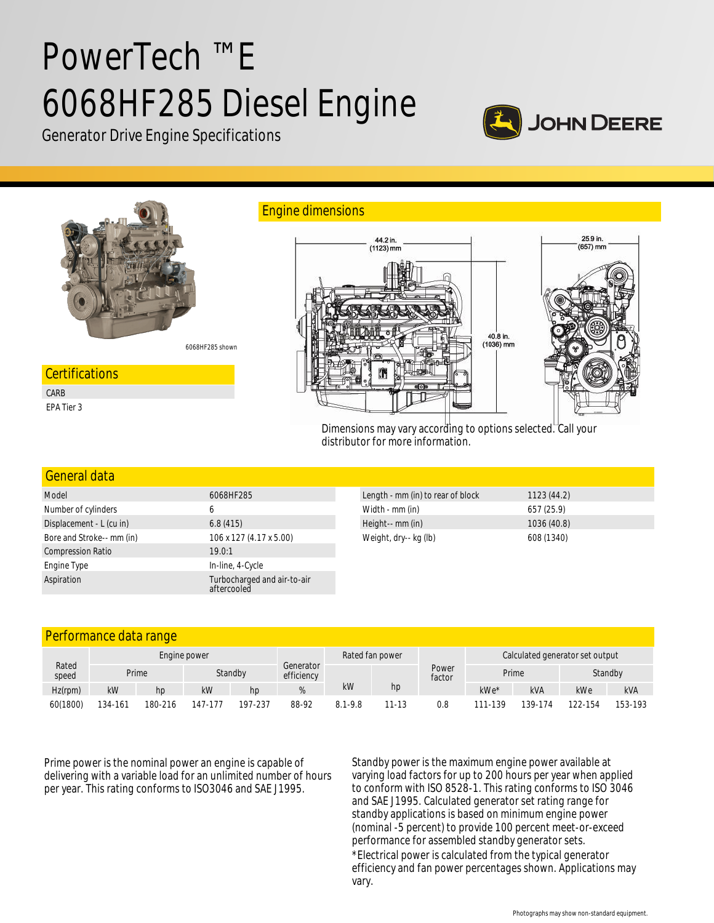# PowerTech ™ E 6068HF285 Diesel Engine



Generator Drive Engine Specifications



6068HF285 shown

#### **Certifications**

CARB EPA Tier 3



Dimensions may vary according to options selected. Call your distributor for more information.

## General data Model 6068HF285 Length - mm (in) to rear of block 1123 (44.2)

| Number of cylinders       |                                            | Width - mm (in)       | 657 (25.9)  |
|---------------------------|--------------------------------------------|-----------------------|-------------|
| Displacement - L (cu in)  | 6.8(415)                                   | Height-- mm (in)      | 1036 (40.8) |
| Bore and Stroke-- mm (in) | 106 x 127 (4.17 x 5.00)                    | Weight, dry-- kg (lb) | 608 (1340)  |
| <b>Compression Ratio</b>  | 19.0:1                                     |                       |             |
| Engine Type               | In-line, 4-Cycle                           |                       |             |
| Aspiration                | Turbocharged and air-to-air<br>aftercooled |                       |             |

Engine dimensions

### Performance data range

|                | Engine power |         |         |         | Rated fan power         |             |           | Calculated generator set output |         |            |         |            |
|----------------|--------------|---------|---------|---------|-------------------------|-------------|-----------|---------------------------------|---------|------------|---------|------------|
| Rated<br>speed | Prime        |         |         | Standby | Generator<br>efficiency |             |           | Power<br>factor                 | Prime   |            | Standby |            |
| Hz(rpm)        | kW           | hp      | kW      | hp      |                         | kW          | hp        |                                 | kWe*    | <b>kVA</b> | kWe     | <b>kVA</b> |
| 60(1800)       | 134-161      | 180-216 | 147-177 | 197-237 | 88-92                   | $8.1 - 9.8$ | $11 - 13$ | 0.8                             | 111-139 | 139-174    | 122-154 | 153-193    |

Prime power is the nominal power an engine is capable of delivering with a variable load for an unlimited number of hours per year. This rating conforms to ISO3046 and SAE J1995.

Standby power is the maximum engine power available at varying load factors for up to 200 hours per year when applied to conform with ISO 8528-1. This rating conforms to ISO 3046 and SAE J1995. Calculated generator set rating range for standby applications is based on minimum engine power (nominal -5 percent) to provide 100 percent meet-or-exceed performance for assembled standby generator sets.

\*Electrical power is calculated from the typical generator efficiency and fan power percentages shown. Applications may vary.